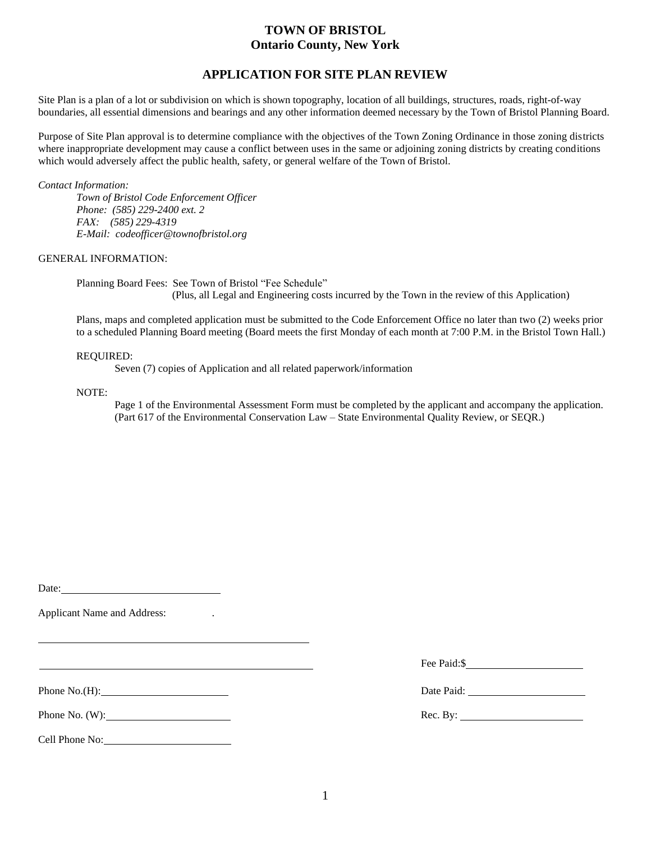# **TOWN OF BRISTOL Ontario County, New York**

## **APPLICATION FOR SITE PLAN REVIEW**

Site Plan is a plan of a lot or subdivision on which is shown topography, location of all buildings, structures, roads, right-of-way boundaries, all essential dimensions and bearings and any other information deemed necessary by the Town of Bristol Planning Board.

Purpose of Site Plan approval is to determine compliance with the objectives of the Town Zoning Ordinance in those zoning districts where inappropriate development may cause a conflict between uses in the same or adjoining zoning districts by creating conditions which would adversely affect the public health, safety, or general welfare of the Town of Bristol.

*Contact Information:*

*Town of Bristol Code Enforcement Officer Phone: (585) 229-2400 ext. 2 FAX: (585) 229-4319 E-Mail: codeofficer@townofbristol.org*

GENERAL INFORMATION:

Planning Board Fees: See Town of Bristol "Fee Schedule" (Plus, all Legal and Engineering costs incurred by the Town in the review of this Application)

Plans, maps and completed application must be submitted to the Code Enforcement Office no later than two (2) weeks prior to a scheduled Planning Board meeting (Board meets the first Monday of each month at 7:00 P.M. in the Bristol Town Hall.)

#### REQUIRED:

Seven (7) copies of Application and all related paperwork/information

#### NOTE:

Page 1 of the Environmental Assessment Form must be completed by the applicant and accompany the application. (Part 617 of the Environmental Conservation Law – State Environmental Quality Review, or SEQR.)

Date:

Applicant Name and Address: .

Cell Phone No:

Fee Paid: \$

Phone No.(H): Date Paid: Date Paid:

Phone No. (W): Rec. By: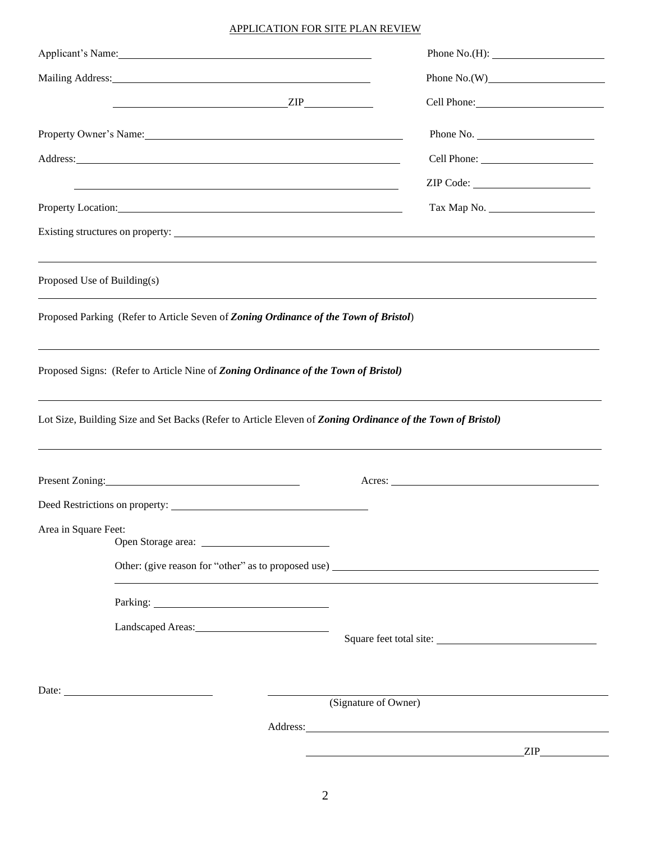### APPLICATION FOR SITE PLAN REVIEW

|                                                                                                                                                                                                                                | Applicant's Name: Name and Applicant and Applicant and Applicant and Applicant and Applicant and Applicant and Applicant and Applicant and Applicant and Applicant and Applicant and Applicant and Applicant and Applicant and      |                      | Phone $No.(H):$ |
|--------------------------------------------------------------------------------------------------------------------------------------------------------------------------------------------------------------------------------|-------------------------------------------------------------------------------------------------------------------------------------------------------------------------------------------------------------------------------------|----------------------|-----------------|
| Mailing Address: National Address: National Address: National Address: National Address: National Address: National Address: National Address: National Address: National Address: National Address: National Address: Nationa |                                                                                                                                                                                                                                     |                      | Phone $No.(W)$  |
|                                                                                                                                                                                                                                | ZIP                                                                                                                                                                                                                                 |                      |                 |
|                                                                                                                                                                                                                                | Property Owner's Name: 1988 Manner Contract Contract Contract Contract Contract Contract Contract Contract Contract Contract Contract Contract Contract Contract Contract Contract Contract Contract Contract Contract Contrac      |                      | Phone No.       |
|                                                                                                                                                                                                                                | Address: <u>Address:</u> Address: Address: Address: Address: Address: Address: Address: Address: Address: Address: Address: Address: Address: Address: Address: Address: Address: Address: Address: Address: Address: Address: Addr |                      |                 |
|                                                                                                                                                                                                                                | and the control of the control of the control of the control of the control of the control of the control of the                                                                                                                    |                      | ZIP Code:       |
|                                                                                                                                                                                                                                | Property Location: Notice of the Contract of the Contract of the Contract of the Contract of the Contract of the Contract of the Contract of the Contract of the Contract of the Contract of the Contract of the Contract of t      |                      |                 |
|                                                                                                                                                                                                                                |                                                                                                                                                                                                                                     |                      |                 |
| Proposed Use of Building(s)                                                                                                                                                                                                    |                                                                                                                                                                                                                                     |                      |                 |
| Proposed Parking (Refer to Article Seven of Zoning Ordinance of the Town of Bristol)                                                                                                                                           |                                                                                                                                                                                                                                     |                      |                 |
|                                                                                                                                                                                                                                | ,我们也不会有什么。""我们的人,我们也不会有什么?""我们的人,我们也不会有什么?""我们的人,我们也不会有什么?""我们的人,我们也不会有什么?""我们的人<br>Proposed Signs: (Refer to Article Nine of Zoning Ordinance of the Town of Bristol)                                                              |                      |                 |
|                                                                                                                                                                                                                                | Lot Size, Building Size and Set Backs (Refer to Article Eleven of Zoning Ordinance of the Town of Bristol)                                                                                                                          |                      |                 |
|                                                                                                                                                                                                                                | Present Zoning:                                                                                                                                                                                                                     | Acres:               |                 |
|                                                                                                                                                                                                                                | Deed Restrictions on property:                                                                                                                                                                                                      |                      |                 |
| Area in Square Feet:                                                                                                                                                                                                           |                                                                                                                                                                                                                                     |                      |                 |
|                                                                                                                                                                                                                                | Other: (give reason for "other" as to proposed use)                                                                                                                                                                                 |                      |                 |
|                                                                                                                                                                                                                                | Parking: 2000 and 2000 and 2000 and 2000 and 2000 and 2000 and 2000 and 2000 and 2000 and 2000 and 2000 and 20                                                                                                                      |                      |                 |
|                                                                                                                                                                                                                                |                                                                                                                                                                                                                                     |                      |                 |
|                                                                                                                                                                                                                                |                                                                                                                                                                                                                                     |                      |                 |
|                                                                                                                                                                                                                                |                                                                                                                                                                                                                                     | (Signature of Owner) |                 |
|                                                                                                                                                                                                                                |                                                                                                                                                                                                                                     |                      |                 |
|                                                                                                                                                                                                                                |                                                                                                                                                                                                                                     |                      | ZIP             |